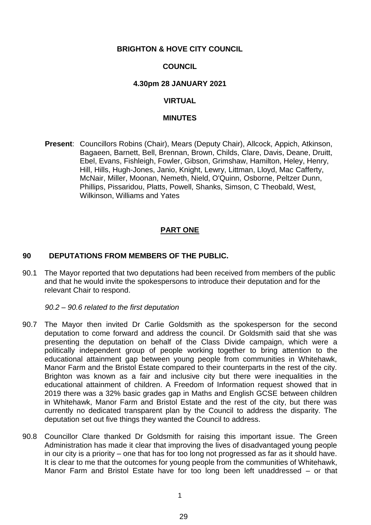## **BRIGHTON & HOVE CITY COUNCIL**

## **COUNCIL**

### **4.30pm 28 JANUARY 2021**

# **VIRTUAL**

#### **MINUTES**

**Present**: Councillors Robins (Chair), Mears (Deputy Chair), Allcock, Appich, Atkinson, Bagaeen, Barnett, Bell, Brennan, Brown, Childs, Clare, Davis, Deane, Druitt, Ebel, Evans, Fishleigh, Fowler, Gibson, Grimshaw, Hamilton, Heley, Henry, Hill, Hills, Hugh-Jones, Janio, Knight, Lewry, Littman, Lloyd, Mac Cafferty, McNair, Miller, Moonan, Nemeth, Nield, O'Quinn, Osborne, Peltzer Dunn, Phillips, Pissaridou, Platts, Powell, Shanks, Simson, C Theobald, West, Wilkinson, Williams and Yates

# **PART ONE**

#### **90 DEPUTATIONS FROM MEMBERS OF THE PUBLIC.**

90.1 The Mayor reported that two deputations had been received from members of the public and that he would invite the spokespersons to introduce their deputation and for the relevant Chair to respond.

*90.2 – 90.6 related to the first deputation*

- 90.7 The Mayor then invited Dr Carlie Goldsmith as the spokesperson for the second deputation to come forward and address the council. Dr Goldsmith said that she was presenting the deputation on behalf of the Class Divide campaign, which were a politically independent group of people working together to bring attention to the educational attainment gap between young people from communities in Whitehawk, Manor Farm and the Bristol Estate compared to their counterparts in the rest of the city. Brighton was known as a fair and inclusive city but there were inequalities in the educational attainment of children. A Freedom of Information request showed that in 2019 there was a 32% basic grades gap in Maths and English GCSE between children in Whitehawk, Manor Farm and Bristol Estate and the rest of the city, but there was currently no dedicated transparent plan by the Council to address the disparity. The deputation set out five things they wanted the Council to address.
- 90.8 Councillor Clare thanked Dr Goldsmith for raising this important issue. The Green Administration has made it clear that improving the lives of disadvantaged young people in our city is a priority – one that has for too long not progressed as far as it should have. It is clear to me that the outcomes for young people from the communities of Whitehawk. Manor Farm and Bristol Estate have for too long been left unaddressed – or that